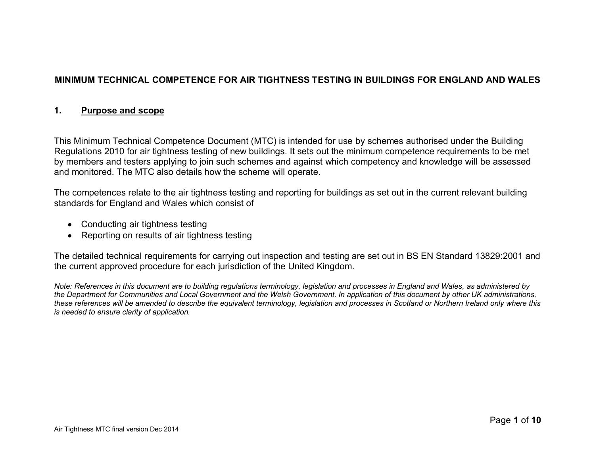# **MINIMUM TECHNICAL COMPETENCE FOR AIR TIGHTNESS TESTING IN BUILDINGS FOR ENGLAND AND WALES**

#### **1. Purpose and scope**

This Minimum Technical Competence Document (MTC) is intended for use by schemes authorised under the Building Regulations 2010 for air tightness testing of new buildings. It sets out the minimum competence requirements to be met by members and testers applying to join such schemes and against which competency and knowledge will be assessed and monitored. The MTC also details how the scheme will operate.

The competences relate to the air tightness testing and reporting for buildings as set out in the current relevant building standards for England and Wales which consist of

- Conducting air tightness testing
- Reporting on results of air tightness testing

The detailed technical requirements for carrying out inspection and testing are set out in BS EN Standard 13829:2001 and the current approved procedure for each jurisdiction of the United Kingdom.

*Note: References in this document are to building regulations terminology, legislation and processes in England and Wales, as administered by the Department for Communities and Local Government and the Welsh Government. In application of this document by other UK administrations, these references will be amended to describe the equivalent terminology, legislation and processes in Scotland or Northern Ireland only where this is needed to ensure clarity of application.*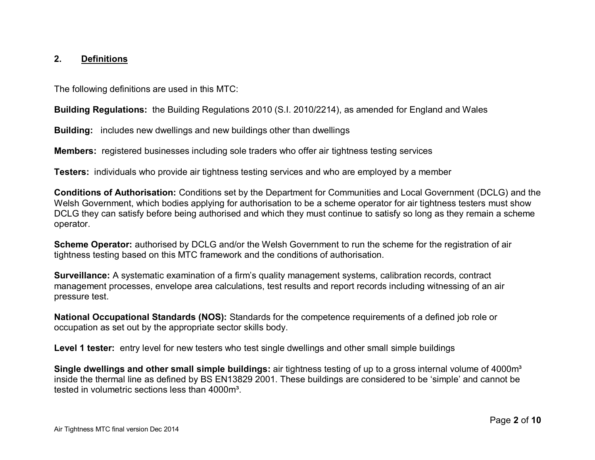### **2. Definitions**

The following definitions are used in this MTC:

**Building Regulations:** the Building Regulations 2010 (S.I. 2010/2214), as amended for England and Wales

**Building:** includes new dwellings and new buildings other than dwellings

**Members:** registered businesses including sole traders who offer air tightness testing services

**Testers:** individuals who provide air tightness testing services and who are employed by a member

**Conditions of Authorisation:** Conditions set by the Department for Communities and Local Government (DCLG) and the Welsh Government, which bodies applying for authorisation to be a scheme operator for air tightness testers must show DCLG they can satisfy before being authorised and which they must continue to satisfy so long as they remain a scheme operator.

**Scheme Operator:** authorised by DCLG and/or the Welsh Government to run the scheme for the registration of air tightness testing based on this MTC framework and the conditions of authorisation.

**Surveillance:** A systematic examination of a firm's quality management systems, calibration records, contract management processes, envelope area calculations, test results and report records including witnessing of an air pressure test.

**National Occupational Standards (NOS):** Standards for the competence requirements of a defined job role or occupation as set out by the appropriate sector skills body.

**Level 1 tester:** entry level for new testers who test single dwellings and other small simple buildings

**Single dwellings and other small simple buildings:** air tightness testing of up to a gross internal volume of 4000m<sup>3</sup> inside the thermal line as defined by BS EN13829 2001. These buildings are considered to be 'simple' and cannot be tested in volumetric sections less than 4000m<sup>3</sup>.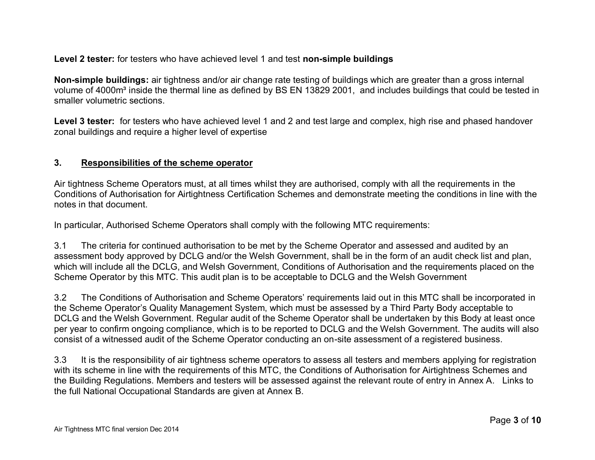**Level 2 tester:** for testers who have achieved level 1 and test **non-simple buildings**

**Non-simple buildings:** air tightness and/or air change rate testing of buildings which are greater than a gross internal volume of 4000m<sup>3</sup> inside the thermal line as defined by BS EN 13829 2001, and includes buildings that could be tested in smaller volumetric sections.

Level 3 tester: for testers who have achieved level 1 and 2 and test large and complex, high rise and phased handover zonal buildings and require a higher level of expertise

### **3. Responsibilities of the scheme operator**

Air tightness Scheme Operators must, at all times whilst they are authorised, comply with all the requirements in the Conditions of Authorisation for Airtightness Certification Schemes and demonstrate meeting the conditions in line with the notes in that document.

In particular, Authorised Scheme Operators shall comply with the following MTC requirements:

3.1 The criteria for continued authorisation to be met by the Scheme Operator and assessed and audited by an assessment body approved by DCLG and/or the Welsh Government, shall be in the form of an audit check list and plan, which will include all the DCLG, and Welsh Government, Conditions of Authorisation and the requirements placed on the Scheme Operator by this MTC. This audit plan is to be acceptable to DCLG and the Welsh Government

3.2 The Conditions of Authorisation and Scheme Operators' requirements laid out in this MTC shall be incorporated in the Scheme Operator's Quality Management System, which must be assessed by a Third Party Body acceptable to DCLG and the Welsh Government. Regular audit of the Scheme Operator shall be undertaken by this Body at least once per year to confirm ongoing compliance, which is to be reported to DCLG and the Welsh Government. The audits will also consist of a witnessed audit of the Scheme Operator conducting an on-site assessment of a registered business.

3.3 It is the responsibility of air tightness scheme operators to assess all testers and members applying for registration with its scheme in line with the requirements of this MTC, the Conditions of Authorisation for Airtightness Schemes and the Building Regulations. Members and testers will be assessed against the relevant route of entry in Annex A. Links to the full National Occupational Standards are given at Annex B.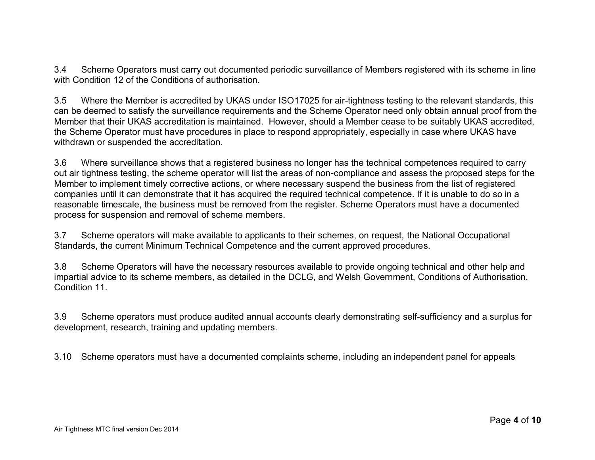3.4 Scheme Operators must carry out documented periodic surveillance of Members registered with its scheme in line with Condition 12 of the Conditions of authorisation.

3.5 Where the Member is accredited by UKAS under ISO17025 for air-tightness testing to the relevant standards, this can be deemed to satisfy the surveillance requirements and the Scheme Operator need only obtain annual proof from the Member that their UKAS accreditation is maintained. However, should a Member cease to be suitably UKAS accredited, the Scheme Operator must have procedures in place to respond appropriately, especially in case where UKAS have withdrawn or suspended the accreditation.

3.6 Where surveillance shows that a registered business no longer has the technical competences required to carry out air tightness testing, the scheme operator will list the areas of non-compliance and assess the proposed steps for the Member to implement timely corrective actions, or where necessary suspend the business from the list of registered companies until it can demonstrate that it has acquired the required technical competence. If it is unable to do so in a reasonable timescale, the business must be removed from the register. Scheme Operators must have a documented process for suspension and removal of scheme members.

3.7 Scheme operators will make available to applicants to their schemes, on request, the National Occupational Standards, the current Minimum Technical Competence and the current approved procedures.

3.8 Scheme Operators will have the necessary resources available to provide ongoing technical and other help and impartial advice to its scheme members, as detailed in the DCLG, and Welsh Government, Conditions of Authorisation, Condition 11.

3.9 Scheme operators must produce audited annual accounts clearly demonstrating self-sufficiency and a surplus for development, research, training and updating members.

3.10 Scheme operators must have a documented complaints scheme, including an independent panel for appeals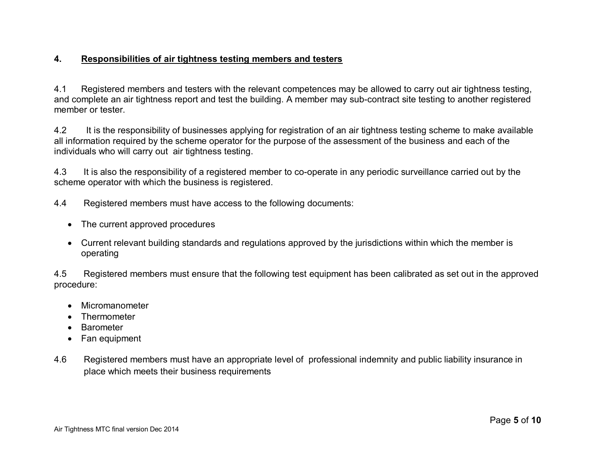## **4. Responsibilities of air tightness testing members and testers**

4.1 Registered members and testers with the relevant competences may be allowed to carry out air tightness testing, and complete an air tightness report and test the building. A member may sub-contract site testing to another registered member or tester.

4.2 It is the responsibility of businesses applying for registration of an air tightness testing scheme to make available all information required by the scheme operator for the purpose of the assessment of the business and each of the individuals who will carry out air tightness testing.

4.3 It is also the responsibility of a registered member to co-operate in any periodic surveillance carried out by the scheme operator with which the business is registered.

4.4 Registered members must have access to the following documents:

- The current approved procedures
- Current relevant building standards and regulations approved by the jurisdictions within which the member is operating

4.5 Registered members must ensure that the following test equipment has been calibrated as set out in the approved procedure:

- Micromanometer
- Thermometer
- Barometer
- Fan equipment
- 4.6 Registered members must have an appropriate level of professional indemnity and public liability insurance in place which meets their business requirements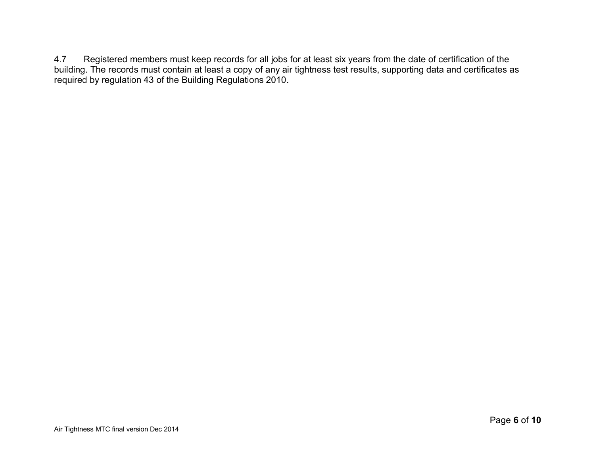4.7 Registered members must keep records for all jobs for at least six years from the date of certification of the building. The records must contain at least a copy of any air tightness test results, supporting data and certificates as required by regulation 43 of the Building Regulations 2010.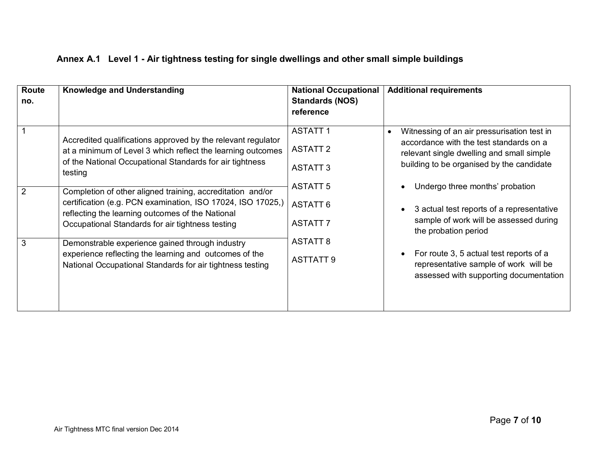| Route<br>no. | Knowledge and Understanding                                                                                                                                                                                                       | <b>National Occupational</b><br><b>Standards (NOS)</b><br>reference                          | <b>Additional requirements</b>                                                                                                                                                                |
|--------------|-----------------------------------------------------------------------------------------------------------------------------------------------------------------------------------------------------------------------------------|----------------------------------------------------------------------------------------------|-----------------------------------------------------------------------------------------------------------------------------------------------------------------------------------------------|
|              | Accredited qualifications approved by the relevant regulator<br>at a minimum of Level 3 which reflect the learning outcomes<br>of the National Occupational Standards for air tightness<br>testing                                | <b>ASTATT1</b><br><b>ASTATT 2</b><br><b>ASTATT 3</b>                                         | Witnessing of an air pressurisation test in<br>$\bullet$<br>accordance with the test standards on a<br>relevant single dwelling and small simple<br>building to be organised by the candidate |
| 2            | Completion of other aligned training, accreditation and/or<br>certification (e.g. PCN examination, ISO 17024, ISO 17025,)<br>reflecting the learning outcomes of the National<br>Occupational Standards for air tightness testing | <b>ASTATT 5</b><br><b>ASTATT 6</b><br><b>ASTATT 7</b><br><b>ASTATT 8</b><br><b>ASTTATT 9</b> | Undergo three months' probation<br>3 actual test reports of a representative<br>sample of work will be assessed during<br>the probation period                                                |
| 3            | Demonstrable experience gained through industry<br>experience reflecting the learning and outcomes of the<br>National Occupational Standards for air tightness testing                                                            |                                                                                              | For route 3, 5 actual test reports of a<br>representative sample of work will be<br>assessed with supporting documentation                                                                    |

# **Annex A.1 Level 1 - Air tightness testing for single dwellings and other small simple buildings**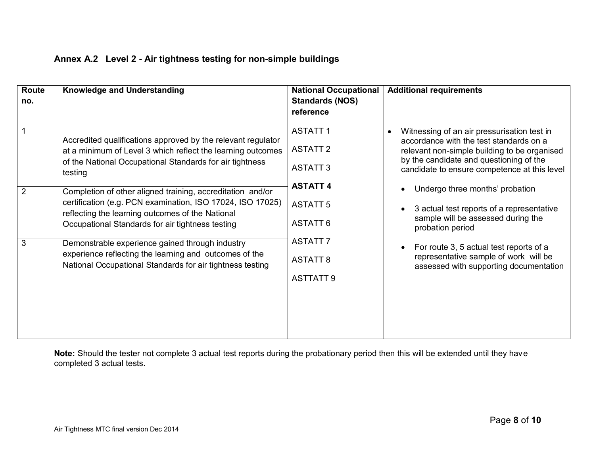| <b>Route</b>   | <b>Knowledge and Understanding</b>                                                                                                                                                                                               | <b>National Occupational</b> | <b>Additional requirements</b>                                                                      |  |  |
|----------------|----------------------------------------------------------------------------------------------------------------------------------------------------------------------------------------------------------------------------------|------------------------------|-----------------------------------------------------------------------------------------------------|--|--|
| no.            |                                                                                                                                                                                                                                  | <b>Standards (NOS)</b>       |                                                                                                     |  |  |
|                |                                                                                                                                                                                                                                  | reference                    |                                                                                                     |  |  |
|                |                                                                                                                                                                                                                                  |                              |                                                                                                     |  |  |
|                | Accredited qualifications approved by the relevant regulator                                                                                                                                                                     | <b>ASTATT1</b>               | Witnessing of an air pressurisation test in<br>$\bullet$<br>accordance with the test standards on a |  |  |
|                | at a minimum of Level 3 which reflect the learning outcomes<br>of the National Occupational Standards for air tightness<br>testing                                                                                               | <b>ASTATT 2</b>              | relevant non-simple building to be organised                                                        |  |  |
|                |                                                                                                                                                                                                                                  | <b>ASTATT 3</b>              | by the candidate and questioning of the                                                             |  |  |
|                |                                                                                                                                                                                                                                  |                              | candidate to ensure competence at this level                                                        |  |  |
| $\overline{2}$ | Completion of other aligned training, accreditation and/or<br>certification (e.g. PCN examination, ISO 17024, ISO 17025)<br>reflecting the learning outcomes of the National<br>Occupational Standards for air tightness testing | <b>ASTATT 4</b>              | Undergo three months' probation                                                                     |  |  |
|                |                                                                                                                                                                                                                                  |                              |                                                                                                     |  |  |
|                |                                                                                                                                                                                                                                  | <b>ASTATT 5</b>              | 3 actual test reports of a representative                                                           |  |  |
|                |                                                                                                                                                                                                                                  | <b>ASTATT 6</b>              | sample will be assessed during the                                                                  |  |  |
|                |                                                                                                                                                                                                                                  |                              | probation period                                                                                    |  |  |
| 3              | Demonstrable experience gained through industry<br>experience reflecting the learning and outcomes of the<br>National Occupational Standards for air tightness testing                                                           | <b>ASTATT 7</b>              | For route 3, 5 actual test reports of a                                                             |  |  |
|                |                                                                                                                                                                                                                                  | <b>ASTATT 8</b>              | representative sample of work will be                                                               |  |  |
|                |                                                                                                                                                                                                                                  |                              | assessed with supporting documentation                                                              |  |  |
|                |                                                                                                                                                                                                                                  | <b>ASTTATT 9</b>             |                                                                                                     |  |  |
|                |                                                                                                                                                                                                                                  |                              |                                                                                                     |  |  |
|                |                                                                                                                                                                                                                                  |                              |                                                                                                     |  |  |
|                |                                                                                                                                                                                                                                  |                              |                                                                                                     |  |  |
|                |                                                                                                                                                                                                                                  |                              |                                                                                                     |  |  |
|                |                                                                                                                                                                                                                                  |                              |                                                                                                     |  |  |

# **Annex A.2 Level 2 - Air tightness testing for non-simple buildings**

**Note:** Should the tester not complete 3 actual test reports during the probationary period then this will be extended until they have completed 3 actual tests.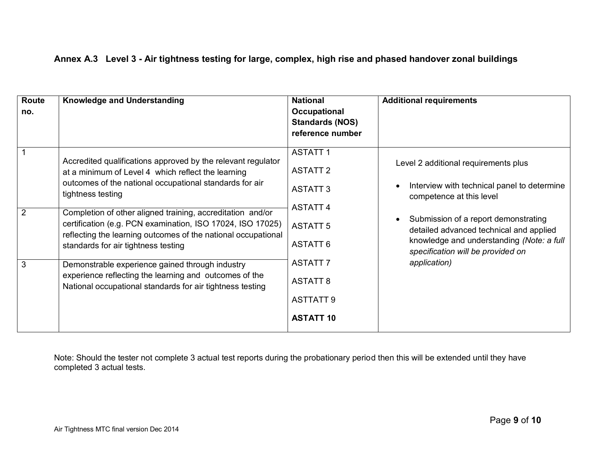|  |  |  |  |  |  |  | Annex A.3 Level 3 - Air tightness testing for large, complex, high rise and phased handover zonal buildings |  |
|--|--|--|--|--|--|--|-------------------------------------------------------------------------------------------------------------|--|
|--|--|--|--|--|--|--|-------------------------------------------------------------------------------------------------------------|--|

| Route<br>no.        | <b>Knowledge and Understanding</b>                                                                                                                                                                                                                                                                                                                                                                                                                                                                                                                                                                               | <b>National</b><br><b>Occupational</b><br><b>Standards (NOS)</b><br>reference number                                                                                                       | <b>Additional requirements</b>                                                                                                                                                                                                                                                                                                 |
|---------------------|------------------------------------------------------------------------------------------------------------------------------------------------------------------------------------------------------------------------------------------------------------------------------------------------------------------------------------------------------------------------------------------------------------------------------------------------------------------------------------------------------------------------------------------------------------------------------------------------------------------|--------------------------------------------------------------------------------------------------------------------------------------------------------------------------------------------|--------------------------------------------------------------------------------------------------------------------------------------------------------------------------------------------------------------------------------------------------------------------------------------------------------------------------------|
| $\overline{2}$<br>3 | Accredited qualifications approved by the relevant regulator<br>at a minimum of Level 4 which reflect the learning<br>outcomes of the national occupational standards for air<br>tightness testing<br>Completion of other aligned training, accreditation and/or<br>certification (e.g. PCN examination, ISO 17024, ISO 17025)<br>reflecting the learning outcomes of the national occupational<br>standards for air tightness testing<br>Demonstrable experience gained through industry<br>experience reflecting the learning and outcomes of the<br>National occupational standards for air tightness testing | <b>ASTATT1</b><br><b>ASTATT 2</b><br><b>ASTATT 3</b><br><b>ASTATT4</b><br><b>ASTATT 5</b><br><b>ASTATT 6</b><br><b>ASTATT 7</b><br><b>ASTATT 8</b><br><b>ASTTATT 9</b><br><b>ASTATT 10</b> | Level 2 additional requirements plus<br>Interview with technical panel to determine<br>$\bullet$<br>competence at this level<br>Submission of a report demonstrating<br>$\bullet$<br>detailed advanced technical and applied<br>knowledge and understanding (Note: a full<br>specification will be provided on<br>application) |

Note: Should the tester not complete 3 actual test reports during the probationary period then this will be extended until they have completed 3 actual tests.